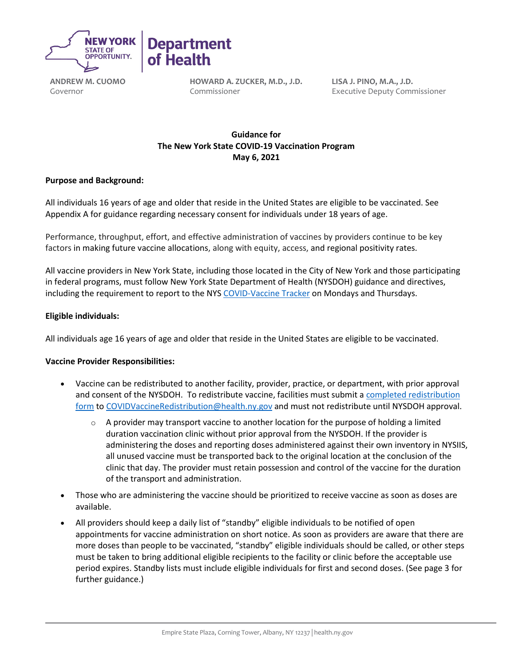

**ANDREW M. CUOMO** Governor

**HOWARD A. ZUCKER, M.D., J.D.** Commissioner

**LISA J. PINO, M.A., J.D.** Executive Deputy Commissioner

# **Guidance for   The New York State COVID-19 Vaccination Program May 6, 2021**

## **Purpose and Background:**

All individuals 16 years of age and older that reside in the United States are eligible to be vaccinated. See Appendix A for guidance regarding necessary consent for individuals under 18 years of age.

Performance, throughput, effort, and effective administration of vaccines by providers continue to be key factors in making future vaccine allocations, along with equity, access, and regional positivity rates.

All vaccine providers in New York State, including those located in the City of New York and those participating in federal programs, must follow New York State Department of Health (NYSDOH) guidance and directives, including the requirement to report to the NY[S COVID-Vaccine Tracker](https://forms.ny.gov/s3/COVID-Vaccine-Tracker) on Mondays and Thursdays.

### **Eligible individuals:**

All individuals age 16 years of age and older that reside in the United States are eligible to be vaccinated.

### **Vaccine Provider Responsibilities:**

- Vaccine can be redistributed to another facility, provider, practice, or department, with prior approval and consent of the NYSDOH.  To redistribute vaccine, facilities must submit a [completed redistribution](https://coronavirus.health.ny.gov/system/files/documents/2021/03/vaccine-program-redistribution-combined-3.5.21-1958.pdf)  [form](https://coronavirus.health.ny.gov/system/files/documents/2021/03/vaccine-program-redistribution-combined-3.5.21-1958.pdf) to [COVIDVaccineRedistribution@health.ny.gov](mailto:COVIDVaccineRedistribution@health.ny.gov) and must not redistribute until NYSDOH approval.
	- $\circ$  A provider may transport vaccine to another location for the purpose of holding a limited duration vaccination clinic without prior approval from the NYSDOH. If the provider is administering the doses and reporting doses administered against their own inventory in NYSIIS, all unused vaccine must be transported back to the original location at the conclusion of the clinic that day. The provider must retain possession and control of the vaccine for the duration of the transport and administration.
- Those who are administering the vaccine should be prioritized to receive vaccine as soon as doses are available.
- All providers should keep a daily list of "standby" eligible individuals to be notified of open appointments for vaccine administration on short notice. As soon as providers are aware that there are more doses than people to be vaccinated, "standby" eligible individuals should be called, or other steps must be taken to bring additional eligible recipients to the facility or clinic before the acceptable use period expires. Standby lists must include eligible individuals for first and second doses. (See page 3 for further guidance.)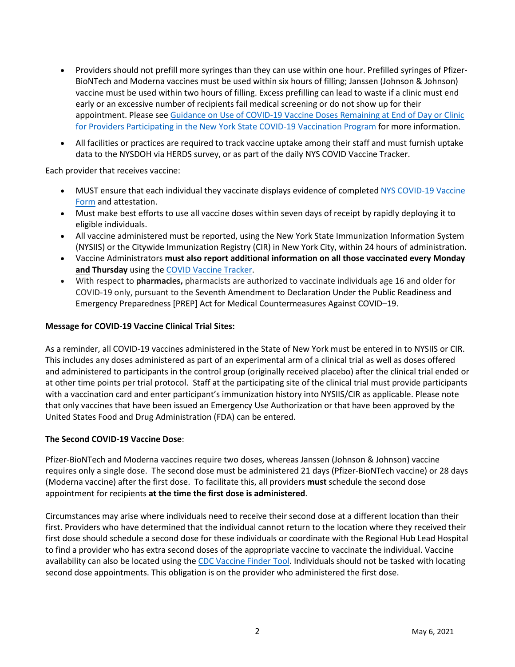- Providers should not prefill more syringes than they can use within one hour. Prefilled syringes of Pfizer-BioNTech and Moderna vaccines must be used within six hours of filling; Janssen (Johnson & Johnson) vaccine must be used within two hours of filling. Excess prefilling can lead to waste if a clinic must end early or an excessive number of recipients fail medical screening or do not show up for their appointment. Please se[e Guidance on Use of COVID-19 Vaccine Doses Remaining at End of Day or Clinic](https://coronavirus.health.ny.gov/system/files/documents/2021/01/guidance_about_to_expire_remaining_doses_of_covid_19_vaccine011321.pdf)  [for Providers Participating in the New York State COVID-19 Vaccination Program](https://coronavirus.health.ny.gov/system/files/documents/2021/01/guidance_about_to_expire_remaining_doses_of_covid_19_vaccine011321.pdf) for more information.
- All facilities or practices are required to track vaccine uptake among their staff and must furnish uptake data to the NYSDOH via HERDS survey, or as part of the daily NYS COVID Vaccine Tracker.

Each provider that receives vaccine: 

- MUST ensure that each individual they vaccinate displays evidence of completed NYS [COVID-19 Vaccine](https://forms.ny.gov/s3/vaccine)  [Form](https://forms.ny.gov/s3/vaccine) and attestation.
- Must make best efforts to use all vaccine doses within seven days of receipt by rapidly deploying it to eligible individuals.
- All vaccine administered must be reported, using the New York State Immunization Information System (NYSIIS) or the Citywide Immunization Registry (CIR) in New York City, within 24 hours of administration.
- Vaccine Administrators **must also report additional information on all those vaccinated every Monday and Thursday** using the [COVID Vaccine Tracker.](https://forms.ny.gov/s3/COVID-Vaccine-Tracker)
- With respect to **pharmacies,** pharmacists are authorized to vaccinate individuals age 16 and older for COVID-19 only, pursuant to the Seventh Amendment to Declaration Under the [Public Readiness and](https://www.phe.gov/Preparedness/legal/prepact/Pages/default.aspx)  [Emergency Preparedness \[PREP\] Act](https://www.phe.gov/Preparedness/legal/prepact/Pages/default.aspx) for Medical Countermeasures Against COVID–19.

#### **Message for COVID-19 Vaccine Clinical Trial Sites:**

As a reminder, all COVID-19 vaccines administered in the State of New York must be entered in to NYSIIS or CIR. This includes any doses administered as part of an experimental arm of a clinical trial as well as doses offered and administered to participants in the control group (originally received placebo) after the clinical trial ended or at other time points per trial protocol. Staff at the participating site of the clinical trial must provide participants with a vaccination card and enter participant's immunization history into NYSIIS/CIR as applicable. Please note that only vaccines that have been issued an Emergency Use Authorization or that have been approved by the United States Food and Drug Administration (FDA) can be entered.

#### **The Second COVID-19 Vaccine Dose**:

Pfizer-BioNTech and Moderna vaccines require two doses, whereas Janssen (Johnson & Johnson) vaccine requires only a single dose. The second dose must be administered 21 days (Pfizer-BioNTech vaccine) or 28 days (Moderna vaccine) after the first dose. To facilitate this, all providers **must** schedule the second dose appointment for recipients **at the time the first dose is administered**.

Circumstances may arise where individuals need to receive their second dose at a different location than their first. Providers who have determined that the individual cannot return to the location where they received their first dose should schedule a second dose for these individuals or coordinate with the Regional Hub Lead Hospital to find a provider who has extra second doses of the appropriate vaccine to vaccinate the individual. Vaccine availability can also be located using the [CDC Vaccine Finder Tool.](https://vaccinefinder.org/search/) Individuals should not be tasked with locating second dose appointments. This obligation is on the provider who administered the first dose.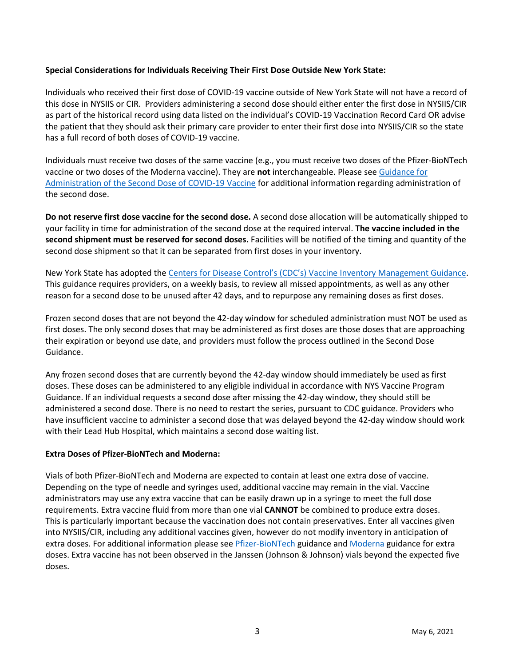## **Special Considerations for Individuals Receiving Their First Dose Outside New York State:**

Individuals who received their first dose of COVID-19 vaccine outside of New York State will not have a record of this dose in NYSIIS or CIR. Providers administering a second dose should either enter the first dose in NYSIIS/CIR as part of the historical record using data listed on the individual's COVID-19 Vaccination Record Card OR advise the patient that they should ask their primary care provider to enter their first dose into NYSIIS/CIR so the state has a full record of both doses of COVID-19 vaccine.

Individuals must receive two doses of the same vaccine (e.g., you must receive two doses of the Pfizer-BioNTech vaccine or two doses of the Moderna vaccine). They are **not** interchangeable. Please se[e Guidance for](https://coronavirus.health.ny.gov/guidance-administration-second-dose)  [Administration of the Second Dose of COVID-19 Vaccine](https://coronavirus.health.ny.gov/guidance-administration-second-dose) for additional information regarding administration of the second dose.

**Do not reserve first dose vaccine for the second dose.**A second dose allocation will be automatically shipped to your facility in time for administration of the second dose at the required interval. **The vaccine included in the second shipment must be reserved for second doses.**Facilities will be notified of the timing and quantity of the second dose shipment so that it can be separated from first doses in your inventory.

New York State has adopted the [Centers for Disease Control's \(CDC's\) Vaccine Inventory Management Guidance.](https://www.cdc.gov/vaccines/covid-19/vaccine-inventory-management.html) This guidance requires providers, on a weekly basis, to review all missed appointments, as well as any other reason for a second dose to be unused after 42 days, and to repurpose any remaining doses as first doses.

Frozen second doses that are not beyond the 42-day window for scheduled administration must NOT be used as first doses. The only second doses that may be administered as first doses are those doses that are approaching their expiration or beyond use date, and providers must follow the process outlined in the Second Dose Guidance.

Any frozen second doses that are currently beyond the 42-day window should immediately be used as first doses. These doses can be administered to any eligible individual in accordance with NYS Vaccine Program Guidance. If an individual requests a second dose after missing the 42-day window, they should still be administered a second dose. There is no need to restart the series, pursuant to CDC guidance. Providers who have insufficient vaccine to administer a second dose that was delayed beyond the 42-day window should work with their Lead Hub Hospital, which maintains a second dose waiting list.

### **Extra Doses of Pfizer-BioNTech and Moderna:**

Vials of both Pfizer-BioNTech and Moderna are expected to contain at least one extra dose of vaccine. Depending on the type of needle and syringes used, additional vaccine may remain in the vial. Vaccine administrators may use any extra vaccine that can be easily drawn up in a syringe to meet the full dose requirements. Extra vaccine fluid from more than one vial **CANNOT** be combined to produce extra doses. This is particularly important because the vaccination does not contain preservatives. Enter all vaccines given into NYSIIS/CIR, including any additional vaccines given, however do not modify inventory in anticipation of extra doses. For additional information please se[e Pfizer-BioNTech](https://coronavirus.health.ny.gov/system/files/documents/2020/12/pfizer_vaccine_guidance_doses.pdf) guidance an[d Moderna](https://coronavirus.health.ny.gov/system/files/documents/2021/01/modernaextradosepackage.pdf) guidance for extra doses. Extra vaccine has not been observed in the Janssen (Johnson & Johnson) vials beyond the expected five doses.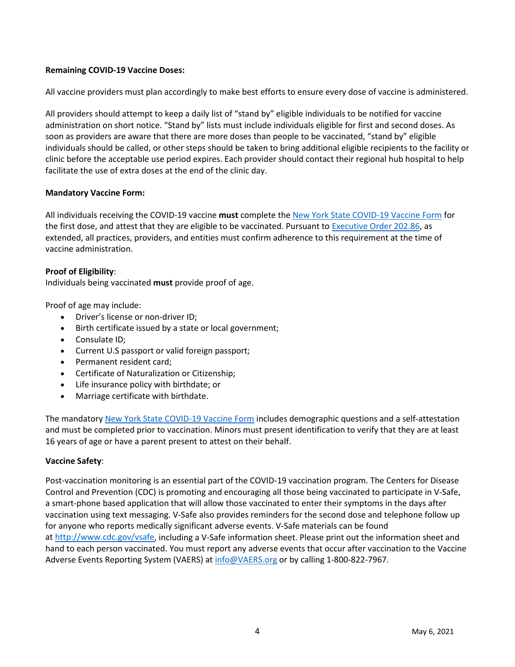## **Remaining COVID-19 Vaccine Doses:**

All vaccine providers must plan accordingly to make best efforts to ensure every dose of vaccine is administered.

All providers should attempt to keep a daily list of "stand by" eligible individuals to be notified for vaccine administration on short notice. "Stand by" lists must include individuals eligible for first and second doses. As soon as providers are aware that there are more doses than people to be vaccinated, "stand by" eligible individuals should be called, or other steps should be taken to bring additional eligible recipients to the facility or clinic before the acceptable use period expires. Each provider should contact their regional hub hospital to help facilitate the use of extra doses at the end of the clinic day.

### **Mandatory Vaccine Form:**

All individuals receiving the COVID-19 vaccine **must** complete the [New York State COVID-19 Vaccine Form](https://forms.ny.gov/s3/vaccine) for the first dose, and attest that they are eligible to be vaccinated. Pursuant t[o Executive Order 202.86,](https://www.governor.ny.gov/news/no-20286-continuing-temporary-suspension-and-modification-laws-relating-disaster-emergency) as extended, all practices, providers, and entities must confirm adherence to this requirement at the time of vaccine administration.

### **Proof of Eligibility**:

Individuals being vaccinated **must** provide proof of age.

Proof of age may include:

- Driver's license or non-driver ID;
- Birth certificate issued by a state or local government;
- Consulate ID;
- Current U.S passport or valid foreign passport;
- Permanent resident card;
- Certificate of Naturalization or Citizenship;
- Life insurance policy with birthdate; or
- Marriage certificate with birthdate.

The mandatory [New York State COVID-19 Vaccine Form](https://forms.ny.gov/s3/vaccine) includes demographic questions and a self-attestation and must be completed prior to vaccination. Minors must present identification to verify that they are at least 16 years of age or have a parent present to attest on their behalf.

### **Vaccine Safety**:

Post-vaccination monitoring is an essential part of the COVID-19 vaccination program. The Centers for Disease Control and Prevention (CDC) is promoting and encouraging all those being vaccinated to participate in V-Safe, a smart-phone based application that will allow those vaccinated to enter their symptoms in the days after vaccination using text messaging. V-Safe also provides reminders for the second dose and telephone follow up for anyone who reports medically significant adverse events. V-Safe materials can be found at [http://www.cdc.gov/vsafe,](http://www.cdc.gov/vsafe) including a V-Safe information sheet. Please print out the information sheet and hand to each person vaccinated. You must report any adverse events that occur after vaccination to the Vaccine Adverse Events Reporting System (VAERS) a[t info@VAERS.org](mailto:info@VAERS.org) or by calling 1-800-822-7967.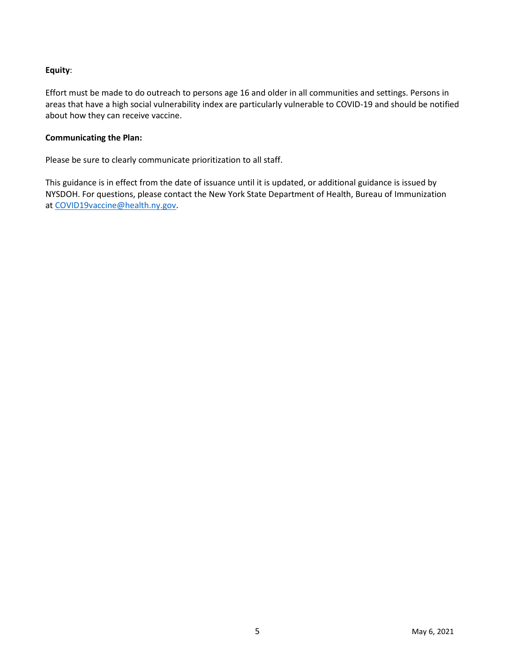# **Equity**:

Effort must be made to do outreach to persons age 16 and older in all communities and settings. Persons in areas that have a high social vulnerability index are particularly vulnerable to COVID-19 and should be notified about how they can receive vaccine.

#### **Communicating the Plan:**

Please be sure to clearly communicate prioritization to all staff.  

This guidance is in effect from the date of issuance until it is updated, or additional guidance is issued by NYSDOH. For questions, please contact the New York State Department of Health, Bureau of Immunization at [COVID19vaccine@health.ny.gov.](mailto:COVID19vaccine@health.ny.gov)